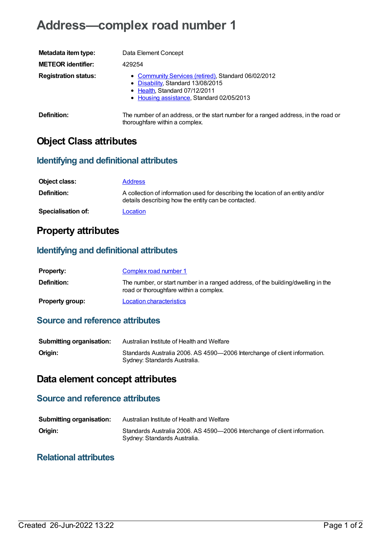# **Address—complex road number 1**

| Metadata item type:         | Data Element Concept                                                                                                                                                   |
|-----------------------------|------------------------------------------------------------------------------------------------------------------------------------------------------------------------|
| <b>METEOR identifier:</b>   | 429254                                                                                                                                                                 |
| <b>Registration status:</b> | • Community Services (retired), Standard 06/02/2012<br>• Disability, Standard 13/08/2015<br>• Health, Standard 07/12/2011<br>• Housing assistance, Standard 02/05/2013 |
| Definition:                 | The number of an address, or the start number for a ranged address, in the road or                                                                                     |

thoroughfare within a complex.

# **Object Class attributes**

#### **Identifying and definitional attributes**

| Object class:             | <b>Address</b>                                                                                                                          |
|---------------------------|-----------------------------------------------------------------------------------------------------------------------------------------|
| <b>Definition:</b>        | A collection of information used for describing the location of an entity and/or<br>details describing how the entity can be contacted. |
| <b>Specialisation of:</b> | Location                                                                                                                                |

# **Property attributes**

#### **Identifying and definitional attributes**

| <b>Property:</b>       | Complex road number 1                                                                                                      |
|------------------------|----------------------------------------------------------------------------------------------------------------------------|
| <b>Definition:</b>     | The number, or start number in a ranged address, of the building/dwelling in the<br>road or thoroughfare within a complex. |
| <b>Property group:</b> | Location characteristics                                                                                                   |

## **Source and reference attributes**

| <b>Submitting organisation:</b> | Australian Institute of Health and Welfare                                                                |
|---------------------------------|-----------------------------------------------------------------------------------------------------------|
| Origin:                         | Standards Australia 2006. AS 4590-2006 Interchange of client information.<br>Sydney: Standards Australia. |

# **Data element concept attributes**

### **Source and reference attributes**

| <b>Submitting organisation:</b> | Australian Institute of Health and Welfare                                                                |
|---------------------------------|-----------------------------------------------------------------------------------------------------------|
| Origin:                         | Standards Australia 2006. AS 4590-2006 Interchange of client information.<br>Sydney: Standards Australia. |

#### **Relational attributes**